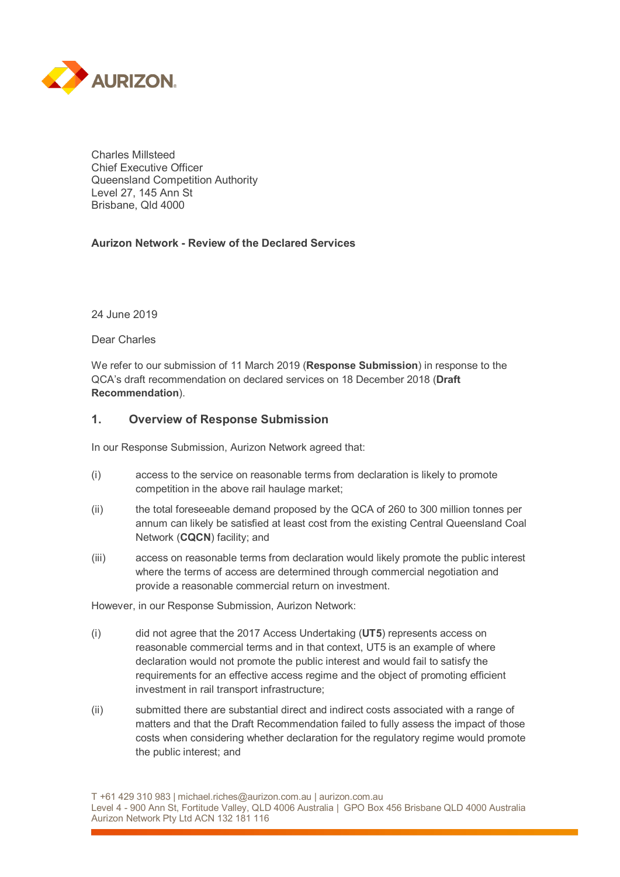

Charles Millsteed Chief Executive Officer Queensland Competition Authority Level 27, 145 Ann St Brisbane, Qld 4000

### **Aurizon Network - Review of the Declared Services**

24 June 2019

Dear Charles

We refer to our submission of 11 March 2019 (**Response Submission**) in response to the QCA's draft recommendation on declared services on 18 December 2018 (**Draft Recommendation**).

#### **1. Overview of Response Submission**

In our Response Submission, Aurizon Network agreed that:

- (i) access to the service on reasonable terms from declaration is likely to promote competition in the above rail haulage market;
- (ii) the total foreseeable demand proposed by the QCA of 260 to 300 million tonnes per annum can likely be satisfied at least cost from the existing Central Queensland Coal Network (**CQCN**) facility; and
- (iii) access on reasonable terms from declaration would likely promote the public interest where the terms of access are determined through commercial negotiation and provide a reasonable commercial return on investment.

However, in our Response Submission, Aurizon Network:

- (i) did not agree that the 2017 Access Undertaking (**UT5**) represents access on reasonable commercial terms and in that context, UT5 is an example of where declaration would not promote the public interest and would fail to satisfy the requirements for an effective access regime and the object of promoting efficient investment in rail transport infrastructure;
- (ii) submitted there are substantial direct and indirect costs associated with a range of matters and that the Draft Recommendation failed to fully assess the impact of those costs when considering whether declaration for the regulatory regime would promote the public interest; and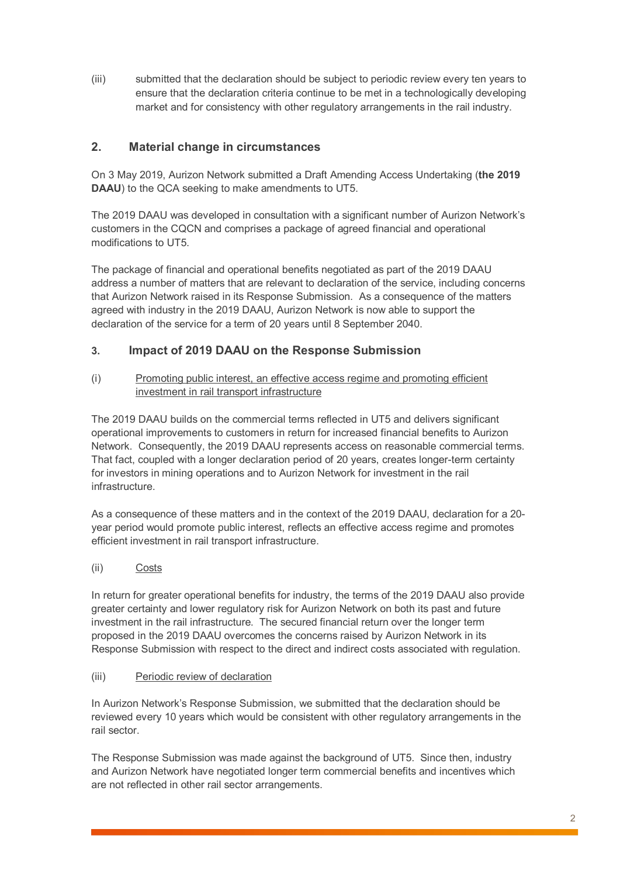(iii) submitted that the declaration should be subject to periodic review every ten years to ensure that the declaration criteria continue to be met in a technologically developing market and for consistency with other regulatory arrangements in the rail industry.

# **2. Material change in circumstances**

On 3 May 2019, Aurizon Network submitted a Draft Amending Access Undertaking (**the 2019 DAAU**) to the QCA seeking to make amendments to UT5.

The 2019 DAAU was developed in consultation with a significant number of Aurizon Network's customers in the CQCN and comprises a package of agreed financial and operational modifications to UT5.

The package of financial and operational benefits negotiated as part of the 2019 DAAU address a number of matters that are relevant to declaration of the service, including concerns that Aurizon Network raised in its Response Submission. As a consequence of the matters agreed with industry in the 2019 DAAU, Aurizon Network is now able to support the declaration of the service for a term of 20 years until 8 September 2040.

## **3. Impact of 2019 DAAU on the Response Submission**

(i) Promoting public interest, an effective access regime and promoting efficient investment in rail transport infrastructure

The 2019 DAAU builds on the commercial terms reflected in UT5 and delivers significant operational improvements to customers in return for increased financial benefits to Aurizon Network. Consequently, the 2019 DAAU represents access on reasonable commercial terms. That fact, coupled with a longer declaration period of 20 years, creates longer-term certainty for investors in mining operations and to Aurizon Network for investment in the rail infrastructure.

As a consequence of these matters and in the context of the 2019 DAAU, declaration for a 20 year period would promote public interest, reflects an effective access regime and promotes efficient investment in rail transport infrastructure.

(ii) Costs

In return for greater operational benefits for industry, the terms of the 2019 DAAU also provide greater certainty and lower regulatory risk for Aurizon Network on both its past and future investment in the rail infrastructure. The secured financial return over the longer term proposed in the 2019 DAAU overcomes the concerns raised by Aurizon Network in its Response Submission with respect to the direct and indirect costs associated with regulation.

### (iii) Periodic review of declaration

In Aurizon Network's Response Submission, we submitted that the declaration should be reviewed every 10 years which would be consistent with other regulatory arrangements in the rail sector.

The Response Submission was made against the background of UT5. Since then, industry and Aurizon Network have negotiated longer term commercial benefits and incentives which are not reflected in other rail sector arrangements.